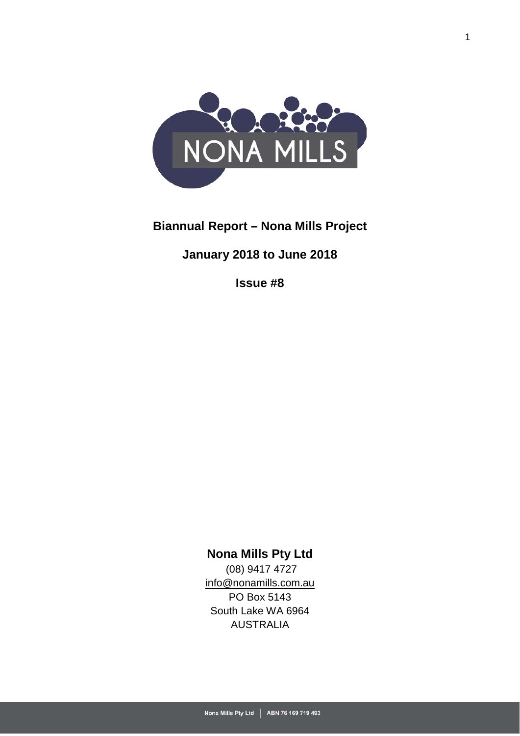

# **Biannual Report – Nona Mills Project**

# **January 2018 to June 2018**

**Issue #8**

# **Nona Mills Pty Ltd**

(08) 9417 4727 [info@nonamills.com.au](mailto:info@nonamills.com.au) PO Box 5143 South Lake WA 6964 AUSTRALIA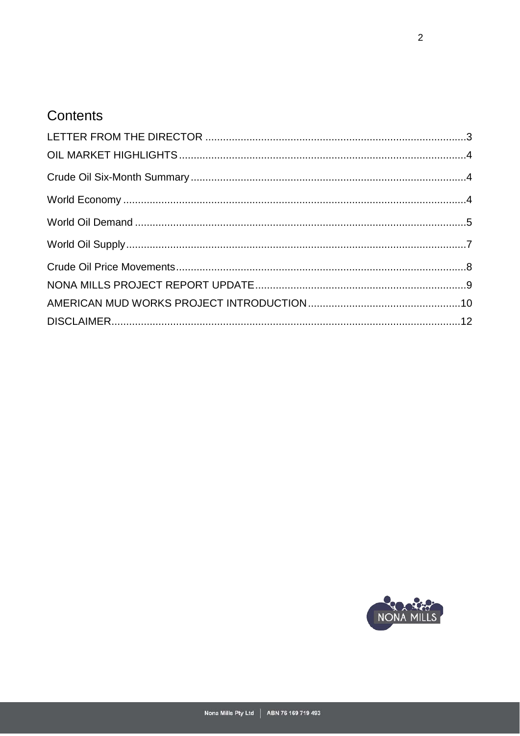# Contents

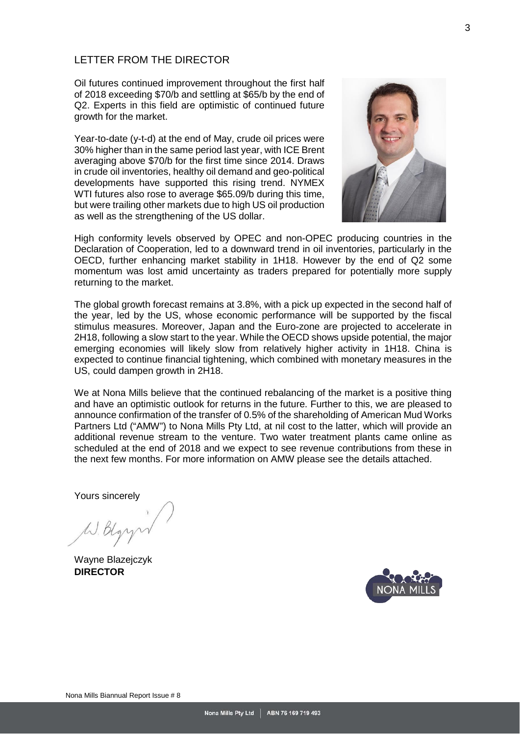#### <span id="page-2-0"></span>LETTER FROM THE DIRECTOR

Oil futures continued improvement throughout the first half of 2018 exceeding \$70/b and settling at \$65/b by the end of Q2. Experts in this field are optimistic of continued future growth for the market.

Year-to-date (y-t-d) at the end of May, crude oil prices were 30% higher than in the same period last year, with ICE Brent averaging above \$70/b for the first time since 2014. Draws in crude oil inventories, healthy oil demand and geo-political developments have supported this rising trend. NYMEX WTI futures also rose to average \$65.09/b during this time, but were trailing other markets due to high US oil production as well as the strengthening of the US dollar.



High conformity levels observed by OPEC and non-OPEC producing countries in the Declaration of Cooperation, led to a downward trend in oil inventories, particularly in the OECD, further enhancing market stability in 1H18. However by the end of Q2 some momentum was lost amid uncertainty as traders prepared for potentially more supply returning to the market.

The global growth forecast remains at 3.8%, with a pick up expected in the second half of the year, led by the US, whose economic performance will be supported by the fiscal stimulus measures. Moreover, Japan and the Euro-zone are projected to accelerate in 2H18, following a slow start to the year. While the OECD shows upside potential, the major emerging economies will likely slow from relatively higher activity in 1H18. China is expected to continue financial tightening, which combined with monetary measures in the US, could dampen growth in 2H18.

We at Nona Mills believe that the continued rebalancing of the market is a positive thing and have an optimistic outlook for returns in the future. Further to this, we are pleased to announce confirmation of the transfer of 0.5% of the shareholding of American Mud Works Partners Ltd ("AMW") to Nona Mills Pty Ltd, at nil cost to the latter, which will provide an additional revenue stream to the venture. Two water treatment plants came online as scheduled at the end of 2018 and we expect to see revenue contributions from these in the next few months. For more information on AMW please see the details attached.

Yours sincerely

W. Dlg

<span id="page-2-1"></span>Wayne Blazejczyk **DIRECTOR**

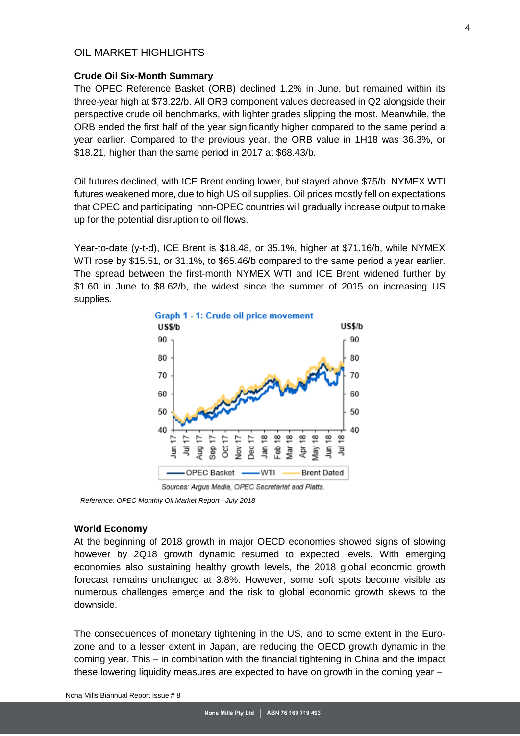### OIL MARKET HIGHLIGHTS

#### <span id="page-3-0"></span>**Crude Oil Six-Month Summary**

The OPEC Reference Basket (ORB) declined 1.2% in June, but remained within its three-year high at \$73.22/b. All ORB component values decreased in Q2 alongside their perspective crude oil benchmarks, with lighter grades slipping the most. Meanwhile, the ORB ended the first half of the year significantly higher compared to the same period a year earlier. Compared to the previous year, the ORB value in 1H18 was 36.3%, or \$18.21, higher than the same period in 2017 at \$68.43/b.

Oil futures declined, with ICE Brent ending lower, but stayed above \$75/b. NYMEX WTI futures weakened more, due to high US oil supplies. Oil prices mostly fell on expectations that OPEC and participating non-OPEC countries will gradually increase output to make up for the potential disruption to oil flows.

Year-to-date (y-t-d), ICE Brent is \$18.48, or 35.1%, higher at \$71.16/b, while NYMEX WTI rose by \$15.51, or 31.1%, to \$65.46/b compared to the same period a year earlier. The spread between the first-month NYMEX WTI and ICE Brent widened further by \$1.60 in June to \$8.62/b, the widest since the summer of 2015 on increasing US supplies.



 *Reference: OPEC Monthly Oil Market Report –July 2018*

#### <span id="page-3-1"></span>**World Economy**

At the beginning of 2018 growth in major OECD economies showed signs of slowing however by 2Q18 growth dynamic resumed to expected levels. With emerging economies also sustaining healthy growth levels, the 2018 global economic growth forecast remains unchanged at 3.8%. However, some soft spots become visible as numerous challenges emerge and the risk to global economic growth skews to the downside.

The consequences of monetary tightening in the US, and to some extent in the Eurozone and to a lesser extent in Japan, are reducing the OECD growth dynamic in the coming year. This – in combination with the financial tightening in China and the impact these lowering liquidity measures are expected to have on growth in the coming year –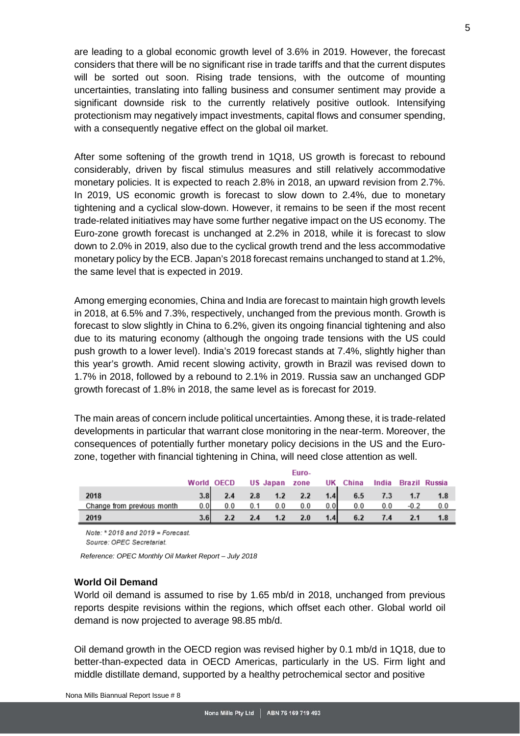are leading to a global economic growth level of 3.6% in 2019. However, the forecast considers that there will be no significant rise in trade tariffs and that the current disputes will be sorted out soon. Rising trade tensions, with the outcome of mounting uncertainties, translating into falling business and consumer sentiment may provide a significant downside risk to the currently relatively positive outlook. Intensifying protectionism may negatively impact investments, capital flows and consumer spending, with a consequently negative effect on the global oil market.

After some softening of the growth trend in 1Q18, US growth is forecast to rebound considerably, driven by fiscal stimulus measures and still relatively accommodative monetary policies. It is expected to reach 2.8% in 2018, an upward revision from 2.7%. In 2019, US economic growth is forecast to slow down to 2.4%, due to monetary tightening and a cyclical slow-down. However, it remains to be seen if the most recent trade-related initiatives may have some further negative impact on the US economy. The Euro-zone growth forecast is unchanged at 2.2% in 2018, while it is forecast to slow down to 2.0% in 2019, also due to the cyclical growth trend and the less accommodative monetary policy by the ECB. Japan's 2018 forecast remains unchanged to stand at 1.2%, the same level that is expected in 2019.

Among emerging economies, China and India are forecast to maintain high growth levels in 2018, at 6.5% and 7.3%, respectively, unchanged from the previous month. Growth is forecast to slow slightly in China to 6.2%, given its ongoing financial tightening and also due to its maturing economy (although the ongoing trade tensions with the US could push growth to a lower level). India's 2019 forecast stands at 7.4%, slightly higher than this year's growth. Amid recent slowing activity, growth in Brazil was revised down to 1.7% in 2018, followed by a rebound to 2.1% in 2019. Russia saw an unchanged GDP growth forecast of 1.8% in 2018, the same level as is forecast for 2019.

The main areas of concern include political uncertainties. Among these, it is trade-related developments in particular that warrant close monitoring in the near-term. Moreover, the consequences of potentially further monetary policy decisions in the US and the Eurozone, together with financial tightening in China, will need close attention as well.

|                            |                  | World OECD |     |     | Euro-<br>US Japan zone |     | UK China | India | Brazil Russia |
|----------------------------|------------------|------------|-----|-----|------------------------|-----|----------|-------|---------------|
| 2018                       | 3.8 <sub>1</sub> | 2.4        | 2.8 | 1.2 | 2.2                    | 1.4 | 6.5      | 7.3   | 1.8           |
| Change from previous month | 0.0              | 0.0        | 0.1 | 0.0 | 0.0                    | 0.0 | 0.0      | 0.0   | 0.0           |
| 2019                       | 3.6              |            | 2.4 | 1.2 | 2.0                    | 1.4 | 6.2      |       | 1.8           |

Note: \* 2018 and 2019 = Forecast.

Source: OPEC Secretariat.

*Reference: OPEC Monthly Oil Market Report – July 2018*

#### <span id="page-4-0"></span>**World Oil Demand**

World oil demand is assumed to rise by 1.65 mb/d in 2018, unchanged from previous reports despite revisions within the regions, which offset each other. Global world oil demand is now projected to average 98.85 mb/d.

Oil demand growth in the OECD region was revised higher by 0.1 mb/d in 1Q18, due to better-than-expected data in OECD Americas, particularly in the US. Firm light and middle distillate demand, supported by a healthy petrochemical sector and positive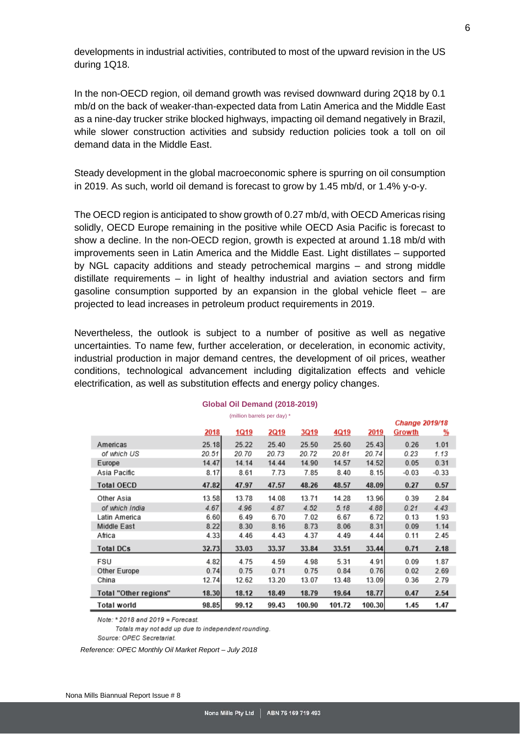developments in industrial activities, contributed to most of the upward revision in the US during 1Q18.

In the non-OECD region, oil demand growth was revised downward during 2Q18 by 0.1 mb/d on the back of weaker-than-expected data from Latin America and the Middle East as a nine-day trucker strike blocked highways, impacting oil demand negatively in Brazil, while slower construction activities and subsidy reduction policies took a toll on oil demand data in the Middle East.

Steady development in the global macroeconomic sphere is spurring on oil consumption in 2019. As such, world oil demand is forecast to grow by 1.45 mb/d, or 1.4% y-o-y.

The OECD region is anticipated to show growth of 0.27 mb/d, with OECD Americas rising solidly, OECD Europe remaining in the positive while OECD Asia Pacific is forecast to show a decline. In the non-OECD region, growth is expected at around 1.18 mb/d with improvements seen in Latin America and the Middle East. Light distillates – supported by NGL capacity additions and steady petrochemical margins – and strong middle distillate requirements – in light of healthy industrial and aviation sectors and firm gasoline consumption supported by an expansion in the global vehicle fleet – are projected to lead increases in petroleum product requirements in 2019.

Nevertheless, the outlook is subject to a number of positive as well as negative uncertainties. To name few, further acceleration, or deceleration, in economic activity, industrial production in major demand centres, the development of oil prices, weather conditions, technological advancement including digitalization effects and vehicle electrification, as well as substitution effects and energy policy changes.

|                       |       |             |             |        |        |        |         | <b>Change 2019/18</b> |  |  |
|-----------------------|-------|-------------|-------------|--------|--------|--------|---------|-----------------------|--|--|
|                       | 2018  | <b>1Q19</b> | <b>2Q19</b> | 3Q19   | 4Q19   | 2019   | Growth  | <u>%</u>              |  |  |
| Americas              | 25.18 | 25.22       | 25.40       | 25.50  | 25.60  | 25.43  | 0.26    | 1.01                  |  |  |
| of which US           | 20.51 | 20.70       | 20.73       | 20.72  | 20.81  | 20.74  | 0.23    | 1.13                  |  |  |
| Europe                | 14.47 | 14.14       | 14.44       | 14.90  | 14.57  | 14.52  | 0.05    | 0.31                  |  |  |
| Asia Pacific          | 8.17  | 8.61        | 7.73        | 7.85   | 8.40   | 8.15   | $-0.03$ | $-0.33$               |  |  |
| <b>Total OECD</b>     | 47.82 | 47.97       | 47.57       | 48.26  | 48.57  | 48.09  | 0.27    | 0.57                  |  |  |
| Other Asia            | 13.58 | 13.78       | 14.08       | 13.71  | 14.28  | 13.96  | 0.39    | 2.84                  |  |  |
| of which India        | 4.67  | 4.96        | 4.87        | 4.52   | 5.18   | 4.88   | 0.21    | 4.43                  |  |  |
| Latin America         | 6.60  | 6.49        | 6.70        | 7.02   | 6.67   | 6.72   | 0.13    | 1.93                  |  |  |
| Middle East           | 8.22  | 8.30        | 8.16        | 8.73   | 8.06   | 8.31   | 0.09    | 1.14                  |  |  |
| Africa                | 4.33  | 4.46        | 4.43        | 4.37   | 4.49   | 4.44   | 0.11    | 2.45                  |  |  |
| <b>Total DCs</b>      | 32.73 | 33.03       | 33.37       | 33.84  | 33.51  | 33.44  | 0.71    | 2.18                  |  |  |
| FSU                   | 4.82  | 4.75        | 4.59        | 4.98   | 5.31   | 4.91   | 0.09    | 1.87                  |  |  |
| Other Europe          | 0.74  | 0.75        | 0.71        | 0.75   | 0.84   | 0.76   | 0.02    | 2.69                  |  |  |
| China                 | 12.74 | 12.62       | 13.20       | 13.07  | 13.48  | 13.09  | 0.36    | 2.79                  |  |  |
| Total "Other regions" | 18.30 | 18.12       | 18.49       | 18.79  | 19.64  | 18.77  | 0.47    | 2.54                  |  |  |
| Total world           | 98.85 | 99.12       | 99.43       | 100.90 | 101.72 | 100.30 | 1.45    | 1.47                  |  |  |

#### **Global Oil Demand (2018-2019)** (million barrels per day) \*

Note: \* 2018 and 2019 = Forecast.

Totals may not add up due to independent rounding. Source: OPEC Secretariat.

<span id="page-5-0"></span>*Reference: OPEC Monthly Oil Market Report – July 2018*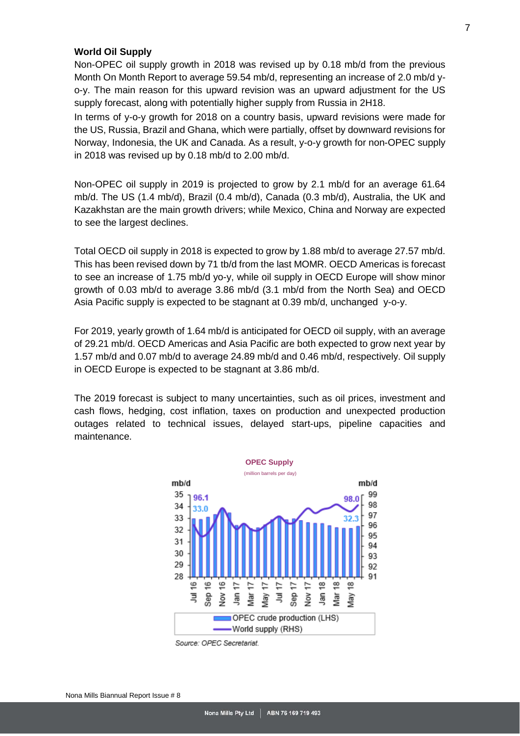#### **World Oil Supply**

Non-OPEC oil supply growth in 2018 was revised up by 0.18 mb/d from the previous Month On Month Report to average 59.54 mb/d, representing an increase of 2.0 mb/d yo-y. The main reason for this upward revision was an upward adjustment for the US supply forecast, along with potentially higher supply from Russia in 2H18.

In terms of y-o-y growth for 2018 on a country basis, upward revisions were made for the US, Russia, Brazil and Ghana, which were partially, offset by downward revisions for Norway, Indonesia, the UK and Canada. As a result, y-o-y growth for non-OPEC supply in 2018 was revised up by 0.18 mb/d to 2.00 mb/d.

Non-OPEC oil supply in 2019 is projected to grow by 2.1 mb/d for an average 61.64 mb/d. The US (1.4 mb/d), Brazil (0.4 mb/d), Canada (0.3 mb/d), Australia, the UK and Kazakhstan are the main growth drivers; while Mexico, China and Norway are expected to see the largest declines.

Total OECD oil supply in 2018 is expected to grow by 1.88 mb/d to average 27.57 mb/d. This has been revised down by 71 tb/d from the last MOMR. OECD Americas is forecast to see an increase of 1.75 mb/d yo-y, while oil supply in OECD Europe will show minor growth of 0.03 mb/d to average 3.86 mb/d (3.1 mb/d from the North Sea) and OECD Asia Pacific supply is expected to be stagnant at 0.39 mb/d, unchanged y-o-y.

For 2019, yearly growth of 1.64 mb/d is anticipated for OECD oil supply, with an average of 29.21 mb/d. OECD Americas and Asia Pacific are both expected to grow next year by 1.57 mb/d and 0.07 mb/d to average 24.89 mb/d and 0.46 mb/d, respectively. Oil supply in OECD Europe is expected to be stagnant at 3.86 mb/d.

The 2019 forecast is subject to many uncertainties, such as oil prices, investment and cash flows, hedging, cost inflation, taxes on production and unexpected production outages related to technical issues, delayed start-ups, pipeline capacities and maintenance.



Source: OPEC Secretariat.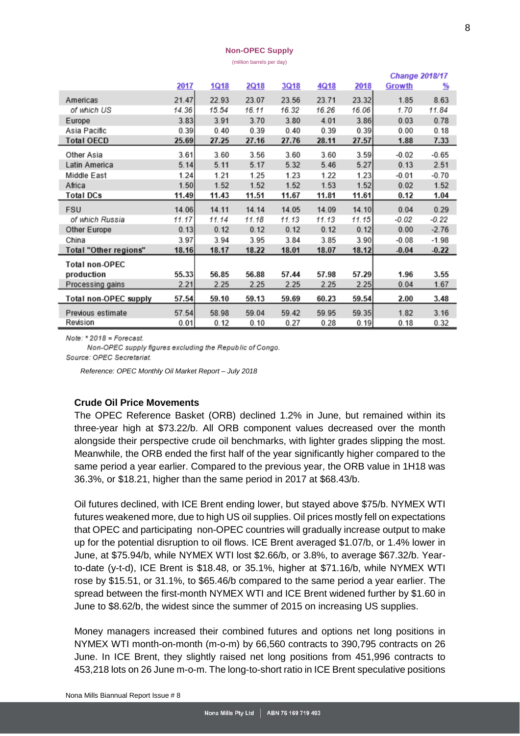#### **Non-OPEC Supply**

(million barrels per day)

|                       |       |             |       |       |       | <b>Change 2018/17</b> |         |         |  |
|-----------------------|-------|-------------|-------|-------|-------|-----------------------|---------|---------|--|
|                       | 2017  | <u>1Q18</u> | 2Q18  | 3Q18  | 4Q18  | 2018                  | Growth  | %       |  |
| Americas              | 21.47 | 22.93       | 23.07 | 23.56 | 23.71 | 23.32                 | 1.85    | 8.63    |  |
| of which US           | 14.36 | 15.54       | 16.11 | 16.32 | 16.26 | 16.06                 | 1.70    | 11.84   |  |
| Europe                | 3.83  | 3.91        | 3.70  | 3.80  | 4.01  | 3.86                  | 0.03    | 0.78    |  |
| Asia Pacific          | 0.39  | 0.40        | 0.39  | 0.40  | 0.39  | 0.39                  | 0.00    | 0.18    |  |
| <b>Total OECD</b>     | 25.69 | 27.25       | 27.16 | 27.76 | 28.11 | 27.57                 | 1.88    | 7.33    |  |
| Other Asia            | 3.61  | 3.60        | 3.56  | 3.60  | 3.60  | 3.59                  | $-0.02$ | $-0.65$ |  |
| Latin America         | 5.14  | 5.11        | 5.17  | 5.32  | 5.46  | 5.27                  | 0.13    | 2.51    |  |
| Middle East           | 1.24  | 1.21        | 1.25  | 1.23  | 1.22  | 1.23                  | $-0.01$ | $-0.70$ |  |
| Africa                | 1.50  | 1.52        | 1.52  | 1.52  | 1.53  | 1.52                  | 0.02    | 1.52    |  |
| <b>Total DCs</b>      | 11.49 | 11.43       | 11.51 | 11.67 | 11.81 | 11.61                 | 0.12    | 1.04    |  |
| <b>FSU</b>            | 14.06 | 14.11       | 14.14 | 14.05 | 14.09 | 14.10                 | 0.04    | 0.29    |  |
| of which Russia       | 11.17 | 11.14       | 11.18 | 11.13 | 11.13 | 11.15                 | $-0.02$ | -0.22   |  |
| Other Europe          | 0.13  | 0.12        | 0.12  | 0.12  | 0.12  | 0.12                  | 0.00    | $-2.76$ |  |
| China                 | 3.97  | 3.94        | 3.95  | 3.84  | 3.85  | 3.90                  | $-0.08$ | $-1.98$ |  |
| Total "Other regions" | 18.16 | 18.17       | 18.22 | 18.01 | 18.07 | 18.12                 | $-0.04$ | $-0.22$ |  |
| <b>Total non-OPEC</b> |       |             |       |       |       |                       |         |         |  |
| production            | 55.33 | 56.85       | 56.88 | 57.44 | 57.98 | 57.29                 | 1.96    | 3.55    |  |
| Processing gains      | 2.21  | 2.25        | 2.25  | 2.25  | 2.25  | 2.25                  | 0.04    | 1.67    |  |
| Total non-OPEC supply | 57.54 | 59.10       | 59.13 | 59.69 | 60.23 | 59.54                 | 2.00    | 3.48    |  |
| Previous estimate     | 57.54 | 58.98       | 59.04 | 59.42 | 59.95 | 59.35                 | 1.82    | 3.16    |  |
| Revision              | 0.01  | 0.12        | 0.10  | 0.27  | 0.28  | 0.19                  | 0.18    | 0.32    |  |

 $Note: *2018 = Forecast.$ 

Non-OPEC supply figures excluding the Republic of Congo.

Source: OPEC Secretariat.

*Reference: OPEC Monthly Oil Market Report – July 2018*

#### <span id="page-7-0"></span>**Crude Oil Price Movements**

The OPEC Reference Basket (ORB) declined 1.2% in June, but remained within its three-year high at \$73.22/b. All ORB component values decreased over the month alongside their perspective crude oil benchmarks, with lighter grades slipping the most. Meanwhile, the ORB ended the first half of the year significantly higher compared to the same period a year earlier. Compared to the previous year, the ORB value in 1H18 was 36.3%, or \$18.21, higher than the same period in 2017 at \$68.43/b.

Oil futures declined, with ICE Brent ending lower, but stayed above \$75/b. NYMEX WTI futures weakened more, due to high US oil supplies. Oil prices mostly fell on expectations that OPEC and participating non-OPEC countries will gradually increase output to make up for the potential disruption to oil flows. ICE Brent averaged \$1.07/b, or 1.4% lower in June, at \$75.94/b, while NYMEX WTI lost \$2.66/b, or 3.8%, to average \$67.32/b. Yearto-date (y-t-d), ICE Brent is \$18.48, or 35.1%, higher at \$71.16/b, while NYMEX WTI rose by \$15.51, or 31.1%, to \$65.46/b compared to the same period a year earlier. The spread between the first-month NYMEX WTI and ICE Brent widened further by \$1.60 in June to \$8.62/b, the widest since the summer of 2015 on increasing US supplies.

Money managers increased their combined futures and options net long positions in NYMEX WTI month-on-month (m-o-m) by 66,560 contracts to 390,795 contracts on 26 June. In ICE Brent, they slightly raised net long positions from 451,996 contracts to 453,218 lots on 26 June m-o-m. The long-to-short ratio in ICE Brent speculative positions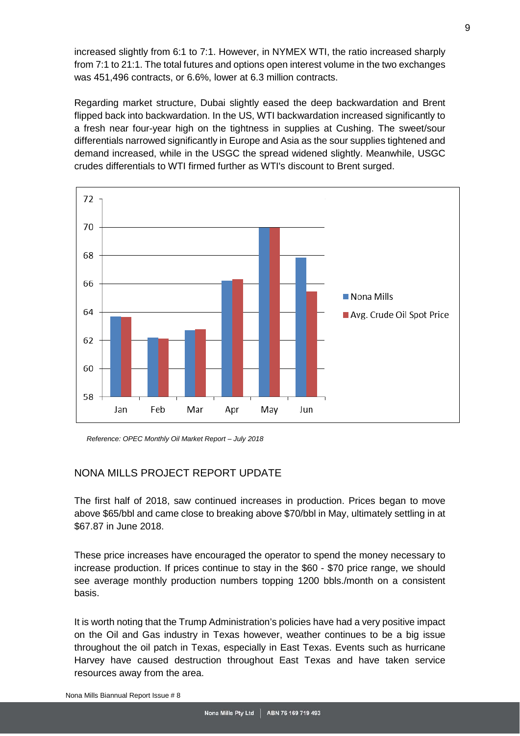increased slightly from 6:1 to 7:1. However, in NYMEX WTI, the ratio increased sharply from 7:1 to 21:1. The total futures and options open interest volume in the two exchanges was 451,496 contracts, or 6.6%, lower at 6.3 million contracts.

Regarding market structure, Dubai slightly eased the deep backwardation and Brent flipped back into backwardation. In the US, WTI backwardation increased significantly to a fresh near four-year high on the tightness in supplies at Cushing. The sweet/sour differentials narrowed significantly in Europe and Asia as the sour supplies tightened and demand increased, while in the USGC the spread widened slightly. Meanwhile, USGC crudes differentials to WTI firmed further as WTI's discount to Brent surged.



*Reference: OPEC Monthly Oil Market Report – July 2018*

## <span id="page-8-0"></span>NONA MILLS PROJECT REPORT UPDATE

The first half of 2018, saw continued increases in production. Prices began to move above \$65/bbl and came close to breaking above \$70/bbl in May, ultimately settling in at \$67.87 in June 2018.

These price increases have encouraged the operator to spend the money necessary to increase production. If prices continue to stay in the \$60 - \$70 price range, we should see average monthly production numbers topping 1200 bbls./month on a consistent basis.

It is worth noting that the Trump Administration's policies have had a very positive impact on the Oil and Gas industry in Texas however, weather continues to be a big issue throughout the oil patch in Texas, especially in East Texas. Events such as hurricane Harvey have caused destruction throughout East Texas and have taken service resources away from the area.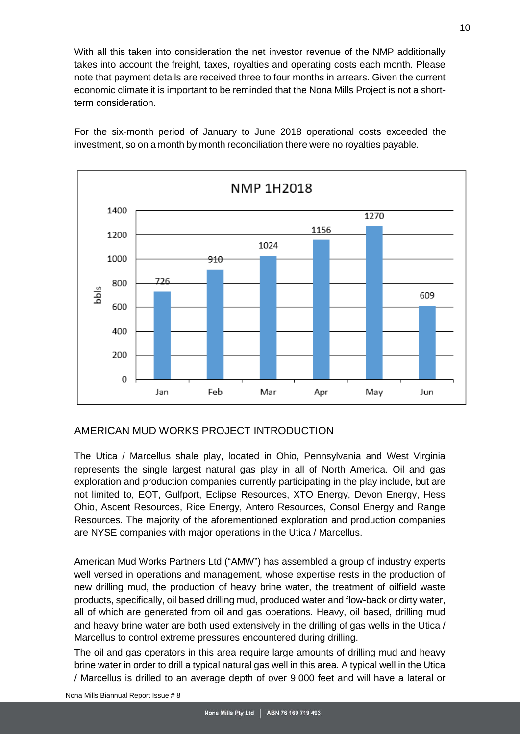With all this taken into consideration the net investor revenue of the NMP additionally takes into account the freight, taxes, royalties and operating costs each month. Please note that payment details are received three to four months in arrears. Given the current economic climate it is important to be reminded that the Nona Mills Project is not a shortterm consideration.

For the six-month period of January to June 2018 operational costs exceeded the investment, so on a month by month reconciliation there were no royalties payable.



## <span id="page-9-0"></span>AMERICAN MUD WORKS PROJECT INTRODUCTION

The Utica / Marcellus shale play, located in Ohio, Pennsylvania and West Virginia represents the single largest natural gas play in all of North America. Oil and gas exploration and production companies currently participating in the play include, but are not limited to, EQT, Gulfport, Eclipse Resources, XTO Energy, Devon Energy, Hess Ohio, Ascent Resources, Rice Energy, Antero Resources, Consol Energy and Range Resources. The majority of the aforementioned exploration and production companies are NYSE companies with major operations in the Utica / Marcellus.

American Mud Works Partners Ltd ("AMW") has assembled a group of industry experts well versed in operations and management, whose expertise rests in the production of new drilling mud, the production of heavy brine water, the treatment of oilfield waste products, specifically, oil based drilling mud, produced water and flow-back or dirty water, all of which are generated from oil and gas operations. Heavy, oil based, drilling mud and heavy brine water are both used extensively in the drilling of gas wells in the Utica / Marcellus to control extreme pressures encountered during drilling.

The oil and gas operators in this area require large amounts of drilling mud and heavy brine water in order to drill a typical natural gas well in this area. A typical well in the Utica / Marcellus is drilled to an average depth of over 9,000 feet and will have a lateral or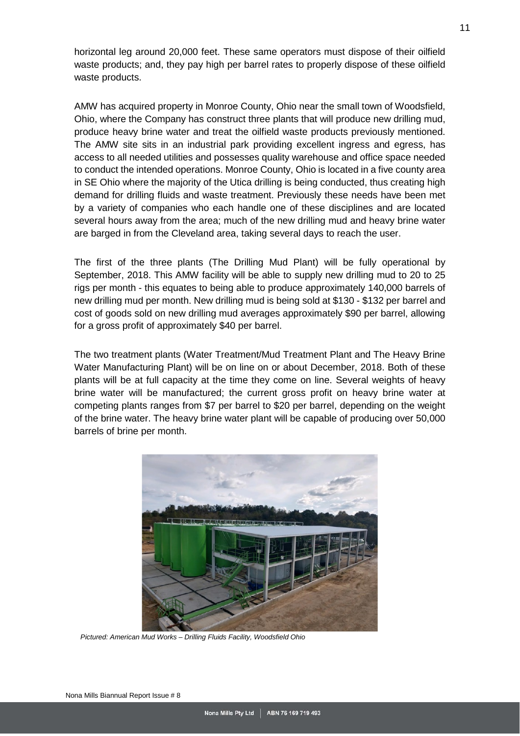horizontal leg around 20,000 feet. These same operators must dispose of their oilfield waste products; and, they pay high per barrel rates to properly dispose of these oilfield waste products.

AMW has acquired property in Monroe County, Ohio near the small town of Woodsfield, Ohio, where the Company has construct three plants that will produce new drilling mud, produce heavy brine water and treat the oilfield waste products previously mentioned. The AMW site sits in an industrial park providing excellent ingress and egress, has access to all needed utilities and possesses quality warehouse and office space needed to conduct the intended operations. Monroe County, Ohio is located in a five county area in SE Ohio where the majority of the Utica drilling is being conducted, thus creating high demand for drilling fluids and waste treatment. Previously these needs have been met by a variety of companies who each handle one of these disciplines and are located several hours away from the area; much of the new drilling mud and heavy brine water are barged in from the Cleveland area, taking several days to reach the user.

The first of the three plants (The Drilling Mud Plant) will be fully operational by September, 2018. This AMW facility will be able to supply new drilling mud to 20 to 25 rigs per month - this equates to being able to produce approximately 140,000 barrels of new drilling mud per month. New drilling mud is being sold at \$130 - \$132 per barrel and cost of goods sold on new drilling mud averages approximately \$90 per barrel, allowing for a gross profit of approximately \$40 per barrel.

The two treatment plants (Water Treatment/Mud Treatment Plant and The Heavy Brine Water Manufacturing Plant) will be on line on or about December, 2018. Both of these plants will be at full capacity at the time they come on line. Several weights of heavy brine water will be manufactured; the current gross profit on heavy brine water at competing plants ranges from \$7 per barrel to \$20 per barrel, depending on the weight of the brine water. The heavy brine water plant will be capable of producing over 50,000 barrels of brine per month.

<span id="page-10-0"></span>

*Pictured: American Mud Works – Drilling Fluids Facility, Woodsfield Ohio*